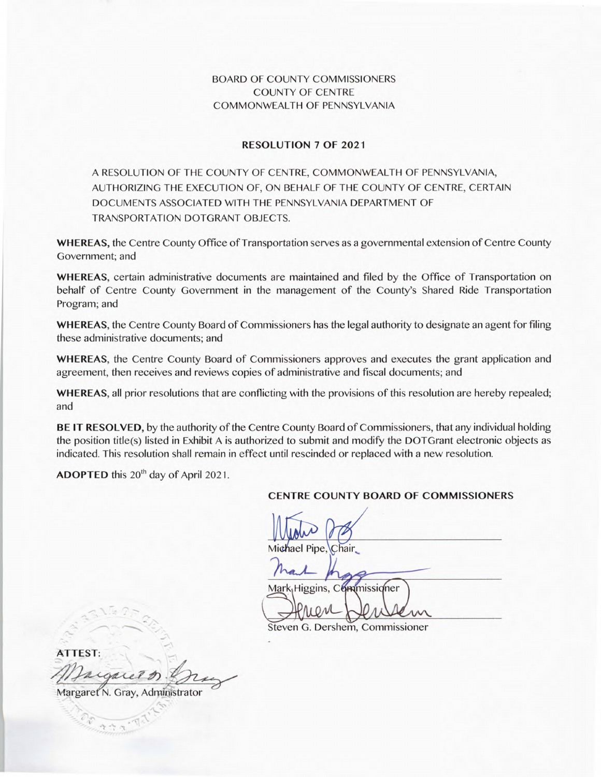# BOARD OF COUNTY COMMISSIONERS COUNTY OF CENTRE COMMONWEALTH OF PENNSYLVANIA

### **RESOLUTION 7 OF 2021**

A RESOLUTION OF THE COUNTY OF CENTRE, COMMONWEALTH OF PENNSYLVANIA, AUTHORIZING THE EXECUTION OF, ON BEHALF OF THE COUNTY OF CENTRE, CERTAIN DOCUMENTS ASSOCIATED WITH THE PENNSYLVANIA DEPARTMENT OF TRANSPORTATION DOTGRANT OBJECTS.

**WHEREAS,** the Centre County Office of Transportation serves as a governmental extension of Centre County Government; and

**WHEREAS,** certain administrative documents are maintained and filed by the Office of Transportation on behalf of Centre County Government in the management of the County's Shared Ride Transportation Program; and

**WHEREAS,** the Centre County Board of Commissioners has the legal authority to designate an agent for filing these administrative documents; and

**WHEREAS,** the Centre County Board of Commissioners approves and executes the grant application and agreement, then receives and reviews copies of administrative and fiscal documents; and

**WHEREAS,** all prior resolutions that are conflicting with the provisions of this resolution are hereby repealed; and

**BE IT RESOLVED,** by the authority of the Centre County Board of Commissioners, that any individual holding the position title(s) listed in Exhibit A is authorized to submit and modify the DOTGrant electronic objects as indicated. This resolution shall remain in effect until rescinded or replaced with a new resolution.

**ADOPTED** this 20<sup>th</sup> day of April 2021.

#### **CENTRE COUNTY BOARD OF COMMISSIONERS**

Michael Pipe

Mark Higgins, Commissioner

Steven G. Dershem, Commissioner

**ATTEST:**  EST:<br>Ingueld Din

Margaret N. Gray, Administrator